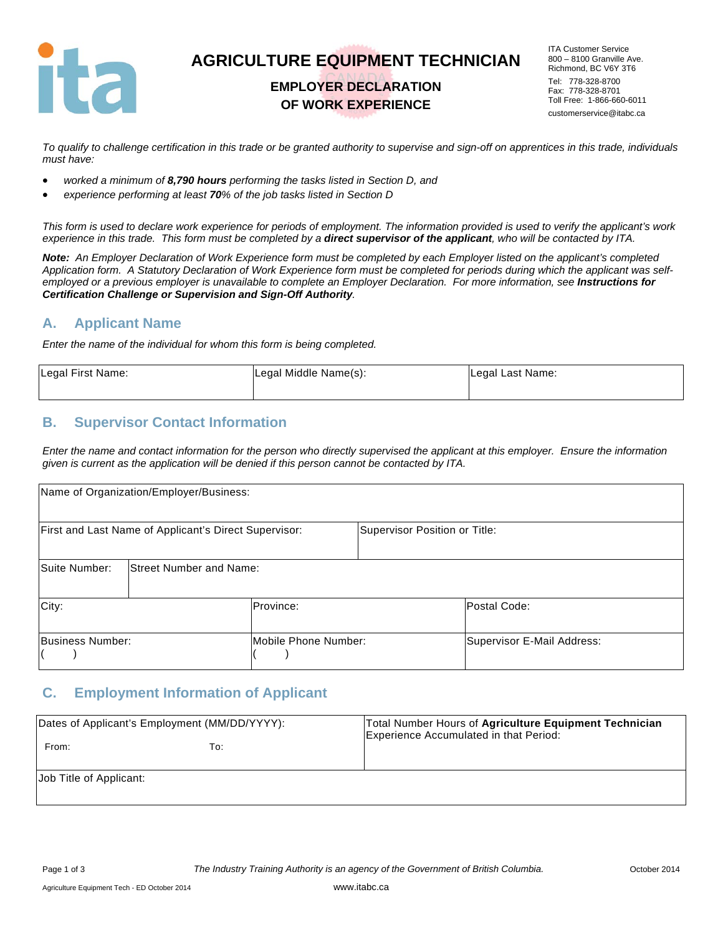

# **AGRICULTURE EQUIPMENT TECHNICIAN**

### **EMPLOYER DECLARATION OF WORK EXPERIENCE**

ITA Customer Service 800 – 8100 Granville Ave. Richmond, BC V6Y 3T6 Tel: 778-328-8700 Fax: 778-328-8701 Toll Free: 1-866-660-6011 customerservice@itabc.ca

*To qualify to challenge certification in this trade or be granted authority to supervise and sign-off on apprentices in this trade, individuals must have:* 

- *worked a minimum of 8,790 hours performing the tasks listed in Section D, and*
- *experience performing at least 70% of the job tasks listed in Section D*

*This form is used to declare work experience for periods of employment. The information provided is used to verify the applicant's work experience in this trade. This form must be completed by a direct supervisor of the applicant, who will be contacted by ITA.* 

*Note: An Employer Declaration of Work Experience form must be completed by each Employer listed on the applicant's completed Application form. A Statutory Declaration of Work Experience form must be completed for periods during which the applicant was self*employed or a previous employer is unavailable to complete an Employer Declaration. For more information, see *Instructions for Certification Challenge or Supervision and Sign-Off Authority.* 

#### **A. Applicant Name**

*Enter the name of the individual for whom this form is being completed.* 

| Legal First Name: | Legal Middle Name(s): | Legal Last Name: |
|-------------------|-----------------------|------------------|
|-------------------|-----------------------|------------------|

#### **B. Supervisor Contact Information**

*Enter the name and contact information for the person who directly supervised the applicant at this employer. Ensure the information given is current as the application will be denied if this person cannot be contacted by ITA.* 

|                  | Name of Organization/Employer/Business:               |                      |                               |                            |
|------------------|-------------------------------------------------------|----------------------|-------------------------------|----------------------------|
|                  | First and Last Name of Applicant's Direct Supervisor: |                      | Supervisor Position or Title: |                            |
| Suite Number:    | <b>Street Number and Name:</b>                        |                      |                               |                            |
| City:            |                                                       | Province:            |                               | lPostal Code:              |
| Business Number: |                                                       | Mobile Phone Number: |                               | Supervisor E-Mail Address: |

#### **C. Employment Information of Applicant**

| Dates of Applicant's Employment (MM/DD/YYYY): |     | Total Number Hours of Agriculture Equipment Technician<br>Experience Accumulated in that Period: |
|-----------------------------------------------|-----|--------------------------------------------------------------------------------------------------|
| From:                                         | To: |                                                                                                  |
| Uob Title of Applicant:                       |     |                                                                                                  |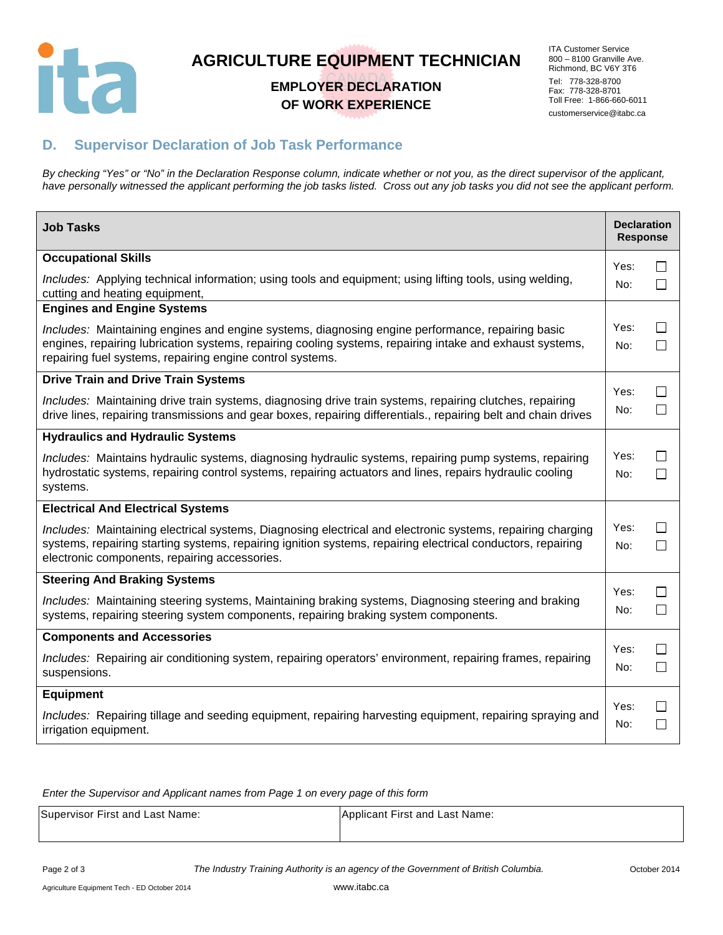

# **AGRICULTURE EQUIPMENT TECHNICIAN**

### **EMPLOYER DECLARATION OF WORK EXPERIENCE**

ITA Customer Service 800 – 8100 Granville Ave. Richmond, BC V6Y 3T6 Tel: 778-328-8700 Fax: 778-328-8701 Toll Free: 1-866-660-6011 customerservice@itabc.ca

## **D. Supervisor Declaration of Job Task Performance**

*By checking "Yes" or "No" in the Declaration Response column, indicate whether or not you, as the direct supervisor of the applicant, have personally witnessed the applicant performing the job tasks listed. Cross out any job tasks you did not see the applicant perform.* 

| <b>Job Tasks</b>                                                                                                                                                                                                                                                           | <b>Declaration</b><br><b>Response</b> |                              |
|----------------------------------------------------------------------------------------------------------------------------------------------------------------------------------------------------------------------------------------------------------------------------|---------------------------------------|------------------------------|
| <b>Occupational Skills</b>                                                                                                                                                                                                                                                 | Yes:                                  | $\mathsf{L}$                 |
| Includes: Applying technical information; using tools and equipment; using lifting tools, using welding,<br>cutting and heating equipment,                                                                                                                                 | No:                                   | $\mathcal{L}_{\mathcal{A}}$  |
| <b>Engines and Engine Systems</b>                                                                                                                                                                                                                                          |                                       |                              |
| Includes: Maintaining engines and engine systems, diagnosing engine performance, repairing basic<br>engines, repairing lubrication systems, repairing cooling systems, repairing intake and exhaust systems,<br>repairing fuel systems, repairing engine control systems.  | Yes:<br>No:                           | $\Box$                       |
| <b>Drive Train and Drive Train Systems</b>                                                                                                                                                                                                                                 |                                       |                              |
| Includes: Maintaining drive train systems, diagnosing drive train systems, repairing clutches, repairing<br>drive lines, repairing transmissions and gear boxes, repairing differentials., repairing belt and chain drives                                                 | Yes:<br>No:                           | $\mathbf{I}$<br>$\Box$       |
| <b>Hydraulics and Hydraulic Systems</b>                                                                                                                                                                                                                                    |                                       |                              |
| Includes: Maintains hydraulic systems, diagnosing hydraulic systems, repairing pump systems, repairing<br>hydrostatic systems, repairing control systems, repairing actuators and lines, repairs hydraulic cooling<br>systems.                                             | Yes:<br>No:                           | $\mathsf{L}$                 |
| <b>Electrical And Electrical Systems</b>                                                                                                                                                                                                                                   |                                       |                              |
| Includes: Maintaining electrical systems, Diagnosing electrical and electronic systems, repairing charging<br>systems, repairing starting systems, repairing ignition systems, repairing electrical conductors, repairing<br>electronic components, repairing accessories. | Yes:<br>No:                           | $\Box$                       |
| <b>Steering And Braking Systems</b>                                                                                                                                                                                                                                        |                                       |                              |
| Includes: Maintaining steering systems, Maintaining braking systems, Diagnosing steering and braking<br>systems, repairing steering system components, repairing braking system components.                                                                                | Yes:<br>No:                           | $\mathsf{L}$                 |
| <b>Components and Accessories</b>                                                                                                                                                                                                                                          |                                       |                              |
| Includes: Repairing air conditioning system, repairing operators' environment, repairing frames, repairing<br>suspensions.                                                                                                                                                 | Yes:<br>No:                           | $\mathsf{I}$<br>$\mathsf{L}$ |
| Equipment                                                                                                                                                                                                                                                                  |                                       |                              |
| Includes: Repairing tillage and seeding equipment, repairing harvesting equipment, repairing spraying and<br>irrigation equipment.                                                                                                                                         | Yes:<br>No:                           | $\sim$<br>$\mathsf{L}$       |

*Enter the Supervisor and Applicant names from Page 1 on every page of this form* 

| Supervisor First and Last Name: | Applicant First and Last Name: |
|---------------------------------|--------------------------------|
|                                 |                                |